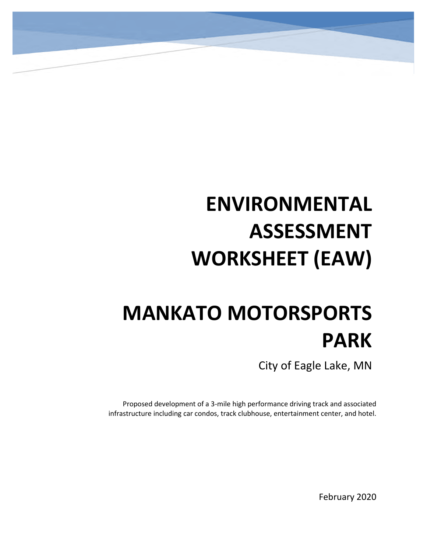# **ENVIRONMENTAL ASSESSMENT WORKSHEET (EAW)**

# **MANKATO MOTORSPORTS PARK**

City of Eagle Lake, MN

Proposed development of a 3-mile high performance driving track and associated infrastructure including car condos, track clubhouse, entertainment center, and hotel.

February 2020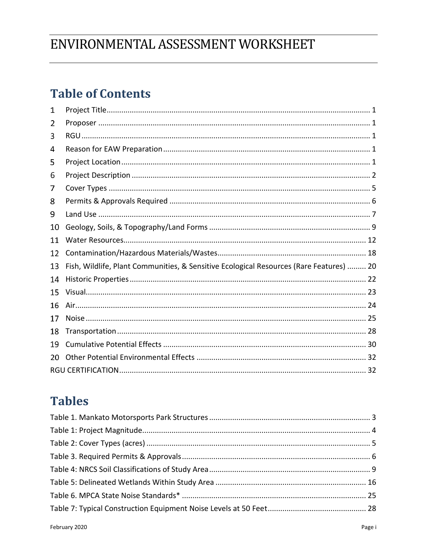# ENVIRONMENTAL ASSESSMENT WORKSHEET

# **Table of Contents**

| 1  |                                                                                         |
|----|-----------------------------------------------------------------------------------------|
| 2  |                                                                                         |
| 3  |                                                                                         |
| 4  |                                                                                         |
| 5  |                                                                                         |
| 6  |                                                                                         |
| 7  |                                                                                         |
| 8  |                                                                                         |
| 9  |                                                                                         |
| 10 |                                                                                         |
| 11 |                                                                                         |
| 12 |                                                                                         |
| 13 | Fish, Wildlife, Plant Communities, & Sensitive Ecological Resources (Rare Features)  20 |
| 14 |                                                                                         |
| 15 |                                                                                         |
| 16 |                                                                                         |
| 17 |                                                                                         |
| 18 |                                                                                         |
| 19 |                                                                                         |
| 20 |                                                                                         |
|    |                                                                                         |

# **Tables**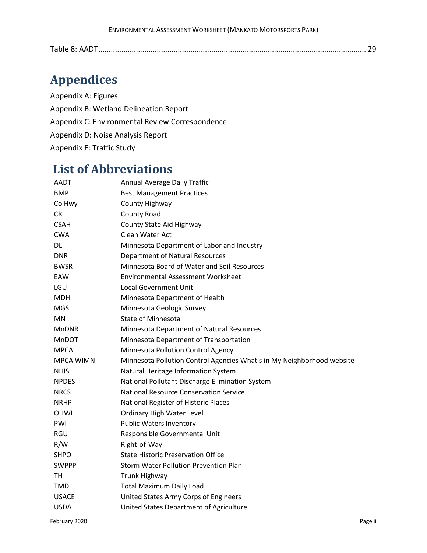|--|

# **Appendices**

Appendix A: Figures Appendix B: Wetland Delineation Report Appendix C: Environmental Review Correspondence Appendix D: Noise Analysis Report Appendix E: Traffic Study

# **List of Abbreviations**

| AADT             | Annual Average Daily Traffic                                           |
|------------------|------------------------------------------------------------------------|
| <b>BMP</b>       | <b>Best Management Practices</b>                                       |
| Co Hwy           | County Highway                                                         |
| <b>CR</b>        | <b>County Road</b>                                                     |
| <b>CSAH</b>      | County State Aid Highway                                               |
| <b>CWA</b>       | Clean Water Act                                                        |
| DLI              | Minnesota Department of Labor and Industry                             |
| <b>DNR</b>       | <b>Department of Natural Resources</b>                                 |
| <b>BWSR</b>      | Minnesota Board of Water and Soil Resources                            |
| EAW              | <b>Environmental Assessment Worksheet</b>                              |
| LGU              | Local Government Unit                                                  |
| <b>MDH</b>       | Minnesota Department of Health                                         |
| <b>MGS</b>       | Minnesota Geologic Survey                                              |
| <b>MN</b>        | <b>State of Minnesota</b>                                              |
| <b>MnDNR</b>     | Minnesota Department of Natural Resources                              |
| <b>MnDOT</b>     | Minnesota Department of Transportation                                 |
| <b>MPCA</b>      | Minnesota Pollution Control Agency                                     |
| <b>MPCA WIMN</b> | Minnesota Pollution Control Agencies What's in My Neighborhood website |
| <b>NHIS</b>      | Natural Heritage Information System                                    |
| <b>NPDES</b>     | National Pollutant Discharge Elimination System                        |
| <b>NRCS</b>      | <b>National Resource Conservation Service</b>                          |
| <b>NRHP</b>      | National Register of Historic Places                                   |
| <b>OHWL</b>      | <b>Ordinary High Water Level</b>                                       |
| PWI              | <b>Public Waters Inventory</b>                                         |
| <b>RGU</b>       | Responsible Governmental Unit                                          |
| R/W              | Right-of-Way                                                           |
| <b>SHPO</b>      | <b>State Historic Preservation Office</b>                              |
| <b>SWPPP</b>     | <b>Storm Water Pollution Prevention Plan</b>                           |
| TН               | <b>Trunk Highway</b>                                                   |
| <b>TMDL</b>      | <b>Total Maximum Daily Load</b>                                        |
| <b>USACE</b>     | United States Army Corps of Engineers                                  |
| <b>USDA</b>      | United States Department of Agriculture                                |
|                  |                                                                        |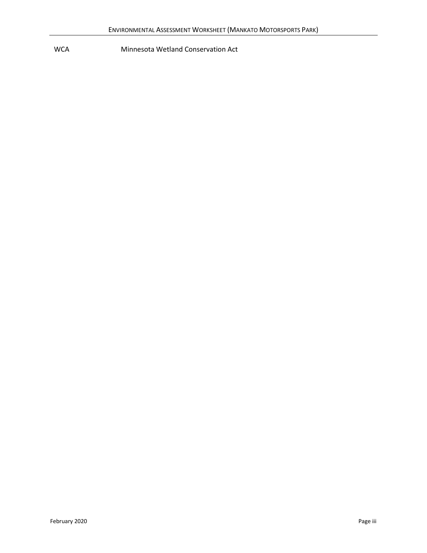WCA Minnesota Wetland Conservation Act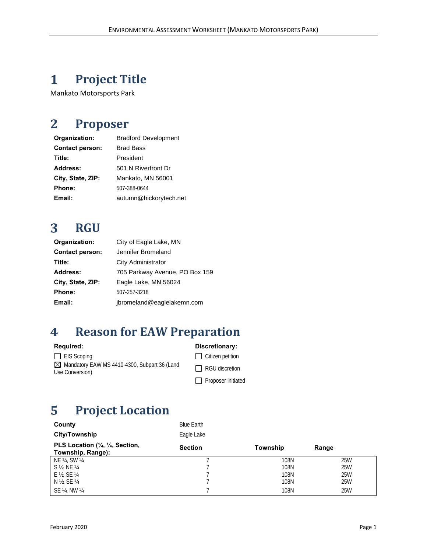#### <span id="page-5-0"></span>**Project Title**  $\mathbf{1}$

Mankato Motorsports Park

#### <span id="page-5-1"></span> $\overline{2}$ **Proposer**

| Organization:          | <b>Bradford Development</b> |
|------------------------|-----------------------------|
| <b>Contact person:</b> | <b>Brad Bass</b>            |
| Title:                 | President                   |
| <b>Address:</b>        | 501 N Riverfront Dr         |
| City, State, ZIP:      | Mankato, MN 56001           |
| <b>Phone:</b>          | 507-388-0644                |
| Email:                 | autumn@hickorytech.net      |

#### <span id="page-5-2"></span> $\overline{\mathbf{3}}$ **RGU**

| Organization:                        | City of Eagle Lake, MN         |
|--------------------------------------|--------------------------------|
| <b>Contact person:</b>               | Jennifer Bromeland             |
| Title:                               | City Administrator             |
| Address:                             | 705 Parkway Avenue, PO Box 159 |
| City, State, ZIP:                    | Eagle Lake, MN 56024           |
| Phone:                               | 507-257-3218                   |
| jbromeland@eaglelakemn.com<br>Email: |                                |

#### <span id="page-5-3"></span> $\overline{\mathbf{4}}$ **Reason for EAW Preparation**

| <b>Required:</b>                                                | Discretionary:            |
|-----------------------------------------------------------------|---------------------------|
| $\Box$ EIS Scoping                                              | $\Box$ Citizen petition   |
| Mandatory EAW MS 4410-4300, Subpart 36 (Land<br>Use Conversion) | $\Box$ RGU discretion     |
|                                                                 | $\Box$ Proposer initiated |

# <span id="page-5-4"></span>**Project Location**

| PLS Location (1/4, 1/4, Section,<br>Township, Range): | <b>Section</b>    |
|-------------------------------------------------------|-------------------|
| <b>City/Township</b>                                  | Eagle Lake        |
| County                                                | <b>Blue Farth</b> |

| $F$ LO LUCALIUII (74, 74, OUCHUII,<br>Township, Range): | <b>Section</b> | Township | Range |  |
|---------------------------------------------------------|----------------|----------|-------|--|
| NE ¼. SW ¼                                              |                | 108N     | 25W   |  |
| S ½. NE ¼                                               |                | 108N     | 25W   |  |
| $E$ $\frac{1}{2}$ , SE $\frac{1}{4}$                    |                | 108N     | 25W   |  |
| N ½. SE ¼                                               |                | 108N     | 25W   |  |
| SE ¼. NW ¼                                              |                | 108N     | 25W   |  |
|                                                         |                |          |       |  |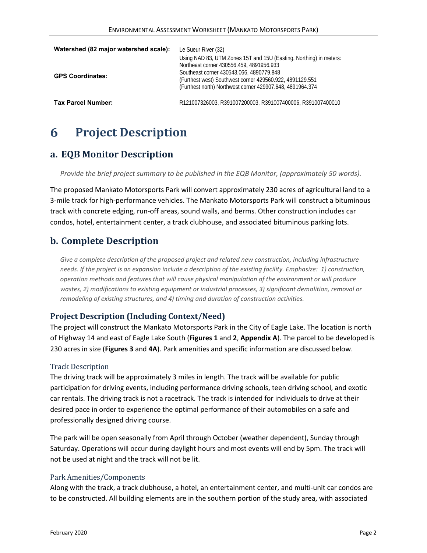| Watershed (82 major watershed scale): | Le Sueur River (32)                                                                                                                                                                                                                                                                 |
|---------------------------------------|-------------------------------------------------------------------------------------------------------------------------------------------------------------------------------------------------------------------------------------------------------------------------------------|
| <b>GPS Coordinates:</b>               | Using NAD 83, UTM Zones 15T and 15U (Easting, Northing) in meters:<br>Northeast corner 430556.459, 4891956.933<br>Southeast corner 430543.066, 4890779.848<br>(Furthest west) Southwest corner 429560.922, 4891129.551<br>(Furthest north) Northwest corner 429907.648, 4891964.374 |
| Tax Parcel Number:                    | R121007326003 R391007200003 R391007400006 R391007400010                                                                                                                                                                                                                             |

#### <span id="page-6-0"></span>6 **Project Description**

### **a. EQB Monitor Description**

*Provide the brief project summary to be published in the EQB Monitor, (approximately 50 words).*

The proposed Mankato Motorsports Park will convert approximately 230 acres of agricultural land to a 3-mile track for high-performance vehicles. The Mankato Motorsports Park will construct a bituminous track with concrete edging, run-off areas, sound walls, and berms. Other construction includes car condos, hotel, entertainment center, a track clubhouse, and associated bituminous parking lots.

# **b. Complete Description**

*Give a complete description of the proposed project and related new construction, including infrastructure needs. If the project is an expansion include a description of the existing facility. Emphasize: 1) construction, operation methods and features that will cause physical manipulation of the environment or will produce wastes, 2) modifications to existing equipment or industrial processes, 3) significant demolition, removal or remodeling of existing structures, and 4) timing and duration of construction activities.*

#### **Project Description (Including Context/Need)**

The project will construct the Mankato Motorsports Park in the City of Eagle Lake. The location is north of Highway 14 and east of Eagle Lake South (**Figures 1** and **2**, **Appendix A**). The parcel to be developed is 230 acres in size (**Figures 3** and **4A**). Park amenities and specific information are discussed below.

#### Track Description

The driving track will be approximately 3 miles in length. The track will be available for public participation for driving events, including performance driving schools, teen driving school, and exotic car rentals. The driving track is not a racetrack. The track is intended for individuals to drive at their desired pace in order to experience the optimal performance of their automobiles on a safe and professionally designed driving course.

The park will be open seasonally from April through October (weather dependent), Sunday through Saturday. Operations will occur during daylight hours and most events will end by 5pm. The track will not be used at night and the track will not be lit.

#### Park Amenities/Components

Along with the track, a track clubhouse, a hotel, an entertainment center, and multi-unit car condos are to be constructed. All building elements are in the southern portion of the study area, with associated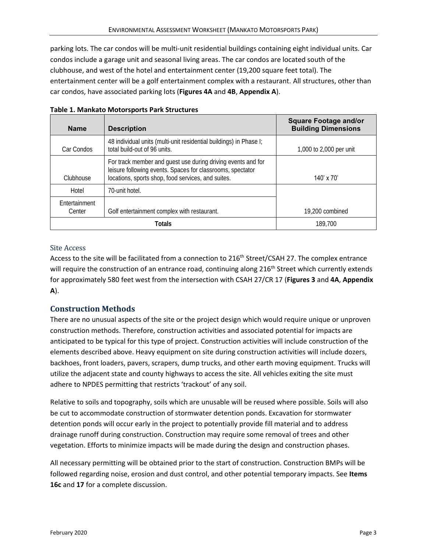parking lots. The car condos will be multi-unit residential buildings containing eight individual units. Car condos include a garage unit and seasonal living areas. The car condos are located south of the clubhouse, and west of the hotel and entertainment center (19,200 square feet total). The entertainment center will be a golf entertainment complex with a restaurant. All structures, other than car condos, have associated parking lots (**Figures 4A** and **4B**, **Appendix A**).

| <b>Name</b>                    | <b>Description</b>                                                                                                                                                               | <b>Square Footage and/or</b><br><b>Building Dimensions</b> |
|--------------------------------|----------------------------------------------------------------------------------------------------------------------------------------------------------------------------------|------------------------------------------------------------|
| Car Condos                     | 48 individual units (multi-unit residential buildings) in Phase I;<br>total build-out of 96 units.                                                                               | 1,000 to 2,000 per unit                                    |
| Clubhouse                      | For track member and guest use during driving events and for<br>leisure following events. Spaces for classrooms, spectator<br>locations, sports shop, food services, and suites. | $140' \times 70'$                                          |
| Hotel                          | 70-unit hotel.                                                                                                                                                                   |                                                            |
| <b>Fntertainment</b><br>Center | Golf entertainment complex with restaurant.                                                                                                                                      | 19.200 combined                                            |
| Totals                         |                                                                                                                                                                                  | 189,700                                                    |

<span id="page-7-0"></span>

|  | Table 1. Mankato Motorsports Park Structures |  |
|--|----------------------------------------------|--|
|--|----------------------------------------------|--|

#### Site Access

Access to the site will be facilitated from a connection to 216<sup>th</sup> Street/CSAH 27. The complex entrance will require the construction of an entrance road, continuing along 216<sup>th</sup> Street which currently extends for approximately 580 feet west from the intersection with CSAH 27/CR 17 (**Figures 3** and **4A**, **Appendix A**).

### **Construction Methods**

There are no unusual aspects of the site or the project design which would require unique or unproven construction methods. Therefore, construction activities and associated potential for impacts are anticipated to be typical for this type of project. Construction activities will include construction of the elements described above. Heavy equipment on site during construction activities will include dozers, backhoes, front loaders, pavers, scrapers, dump trucks, and other earth moving equipment. Trucks will utilize the adjacent state and county highways to access the site. All vehicles exiting the site must adhere to NPDES permitting that restricts 'trackout' of any soil.

Relative to soils and topography, soils which are unusable will be reused where possible. Soils will also be cut to accommodate construction of stormwater detention ponds. Excavation for stormwater detention ponds will occur early in the project to potentially provide fill material and to address drainage runoff during construction. Construction may require some removal of trees and other vegetation. Efforts to minimize impacts will be made during the design and construction phases.

All necessary permitting will be obtained prior to the start of construction. Construction BMPs will be followed regarding noise, erosion and dust control, and other potential temporary impacts. See **Items 16c** and **17** for a complete discussion.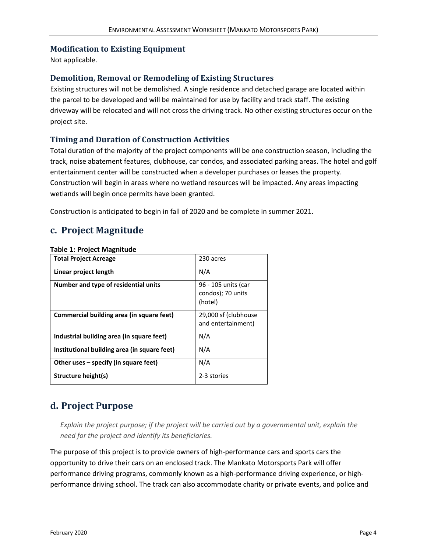#### **Modification to Existing Equipment**

Not applicable.

#### **Demolition, Removal or Remodeling of Existing Structures**

Existing structures will not be demolished. A single residence and detached garage are located within the parcel to be developed and will be maintained for use by facility and track staff. The existing driveway will be relocated and will not cross the driving track. No other existing structures occur on the project site.

#### **Timing and Duration of Construction Activities**

Total duration of the majority of the project components will be one construction season, including the track, noise abatement features, clubhouse, car condos, and associated parking areas. The hotel and golf entertainment center will be constructed when a developer purchases or leases the property. Construction will begin in areas where no wetland resources will be impacted. Any areas impacting wetlands will begin once permits have been granted.

Construction is anticipated to begin in fall of 2020 and be complete in summer 2021.

### **c. Project Magnitude**

#### <span id="page-8-0"></span>**Table 1: Project Magnitude**

| <b>Total Project Acreage</b>                 | 230 acres                                           |
|----------------------------------------------|-----------------------------------------------------|
| Linear project length                        | N/A                                                 |
| Number and type of residential units         | 96 - 105 units (car<br>condos); 70 units<br>(hotel) |
| Commercial building area (in square feet)    | 29,000 sf (clubhouse<br>and entertainment)          |
| Industrial building area (in square feet)    | N/A                                                 |
| Institutional building area (in square feet) | N/A                                                 |
| Other uses – specify (in square feet)        | N/A                                                 |
| Structure height(s)                          | 2-3 stories                                         |

# **d. Project Purpose**

*Explain the project purpose; if the project will be carried out by a governmental unit, explain the need for the project and identify its beneficiaries.*

The purpose of this project is to provide owners of high-performance cars and sports cars the opportunity to drive their cars on an enclosed track. The Mankato Motorsports Park will offer performance driving programs, commonly known as a high-performance driving experience, or highperformance driving school. The track can also accommodate charity or private events, and police and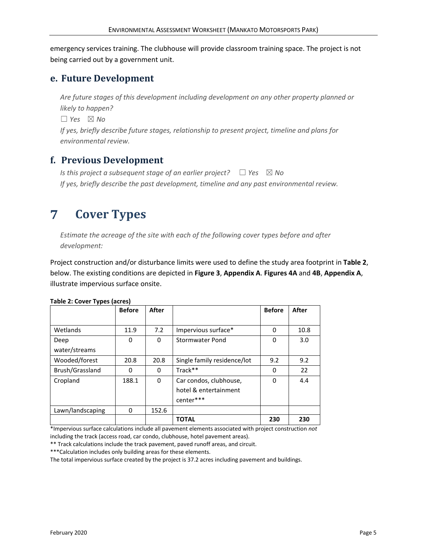emergency services training. The clubhouse will provide classroom training space. The project is not being carried out by a government unit.

### **e. Future Development**

*Are future stages of this development including development on any other property planned or likely to happen?*

 $\Box$  *Yes*  $\boxtimes$  *No* 

*If yes, briefly describe future stages, relationship to present project, timeline and plans for environmental review.*

# **f. Previous Development**

*Is this project a subsequent stage of an earlier project?* □ *Yes* ⊠ No *If yes, briefly describe the past development, timeline and any past environmental review.*

#### <span id="page-9-0"></span> $\overline{7}$ **Cover Types**

*Estimate the acreage of the site with each of the following cover types before and after development:*

Project construction and/or disturbance limits were used to define the study area footprint in **Table 2**, below. The existing conditions are depicted in **Figure 3**, **Appendix A**. **Figures 4A** and **4B**, **Appendix A**, illustrate impervious surface onsite.

|                  | <b>Before</b> | After |                             | <b>Before</b> | After |
|------------------|---------------|-------|-----------------------------|---------------|-------|
|                  |               |       |                             |               |       |
| Wetlands         | 11.9          | 7.2   | Impervious surface*         | 0             | 10.8  |
| Deep             | 0             | 0     | Stormwater Pond             | 0             | 3.0   |
| water/streams    |               |       |                             |               |       |
| Wooded/forest    | 20.8          | 20.8  | Single family residence/lot | 9.2           | 9.2   |
| Brush/Grassland  | 0             | 0     | Track**                     | 0             | 22    |
| Cropland         | 188.1         | 0     | Car condos, clubhouse,      | 0             | 4.4   |
|                  |               |       | hotel & entertainment       |               |       |
|                  |               |       | center***                   |               |       |
| Lawn/landscaping | 0             | 152.6 |                             |               |       |
|                  |               |       | <b>TOTAL</b>                | 230           | 230   |

#### <span id="page-9-1"></span>**Table 2: Cover Types (acres)**

\*Impervious surface calculations include all pavement elements associated with project construction *not* including the track (access road, car condo, clubhouse, hotel pavement areas).

\*\* Track calculations include the track pavement, paved runoff areas, and circuit.

\*\*\*Calculation includes only building areas for these elements.

The total impervious surface created by the project is 37.2 acres including pavement and buildings.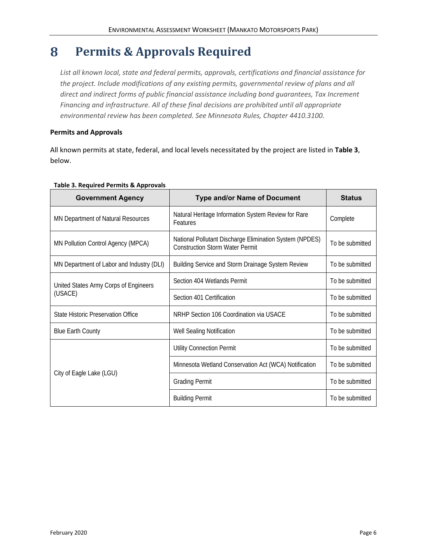#### <span id="page-10-0"></span>8 **Permits & Approvals Required**

*List all known local, state and federal permits, approvals, certifications and financial assistance for the project. Include modifications of any existing permits, governmental review of plans and all direct and indirect forms of public financial assistance including bond guarantees, Tax Increment Financing and infrastructure. All of these final decisions are prohibited until all appropriate environmental review has been completed. See Minnesota Rules, Chapter 4410.3100.*

#### **Permits and Approvals**

All known permits at state, federal, and local levels necessitated by the project are listed in **Table 3**, below.

<span id="page-10-1"></span>

| <b>Government Agency</b>                  | <b>Type and/or Name of Document</b>                                                               | <b>Status</b>   |
|-------------------------------------------|---------------------------------------------------------------------------------------------------|-----------------|
| MN Department of Natural Resources        | Natural Heritage Information System Review for Rare<br>Features                                   | Complete        |
| MN Pollution Control Agency (MPCA)        | National Pollutant Discharge Elimination System (NPDES)<br><b>Construction Storm Water Permit</b> | To be submitted |
| MN Department of Labor and Industry (DLI) | Building Service and Storm Drainage System Review                                                 | To be submitted |
| United States Army Corps of Engineers     | Section 404 Wetlands Permit                                                                       | To be submitted |
| (USACE)                                   | Section 401 Certification                                                                         | To be submitted |
| State Historic Preservation Office        | NRHP Section 106 Coordination via USACE                                                           | To be submitted |
| <b>Blue Earth County</b>                  | Well Sealing Notification                                                                         | To be submitted |
|                                           | <b>Utility Connection Permit</b>                                                                  | To be submitted |
| City of Eagle Lake (LGU)                  | Minnesota Wetland Conservation Act (WCA) Notification                                             | To be submitted |
|                                           | <b>Grading Permit</b>                                                                             | To be submitted |
|                                           | <b>Building Permit</b>                                                                            | To be submitted |

#### <span id="page-10-2"></span>**Table 3. Required Permits & Approvals**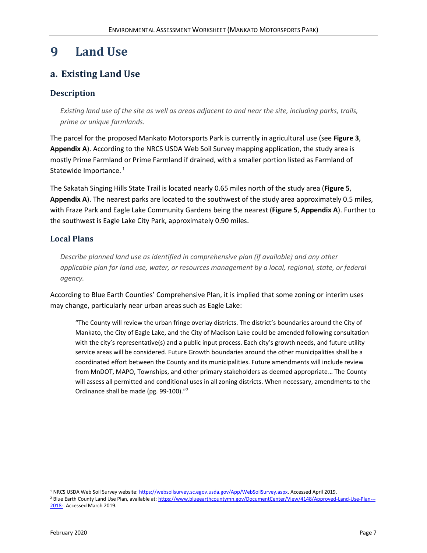#### **Land Use** 9

# **a. Existing Land Use**

#### **Description**

*Existing land use of the site as well as areas adjacent to and near the site, including parks, trails, prime or unique farmlands.*

The parcel for the proposed Mankato Motorsports Park is currently in agricultural use (see **Figure 3**, **Appendix A**). According to the NRCS USDA Web Soil Survey mapping application, the study area is mostly Prime Farmland or Prime Farmland if drained, with a smaller portion listed as Farmland of Statewide Importance.<sup>1</sup>

The Sakatah Singing Hills State Trail is located nearly 0.65 miles north of the study area (**Figure 5**, **Appendix A**). The nearest parks are located to the southwest of the study area approximately 0.5 miles, with Fraze Park and Eagle Lake Community Gardens being the nearest (**Figure 5**, **Appendix A**). Further to the southwest is Eagle Lake City Park, approximately 0.90 miles.

#### **Local Plans**

*Describe planned land use as identified in comprehensive plan (if available) and any other applicable plan for land use, water, or resources management by a local, regional, state, or federal agency.*

According to Blue Earth Counties' Comprehensive Plan, it is implied that some zoning or interim uses may change, particularly near urban areas such as Eagle Lake:

"The County will review the urban fringe overlay districts. The district's boundaries around the City of Mankato, the City of Eagle Lake, and the City of Madison Lake could be amended following consultation with the city's representative(s) and a public input process. Each city's growth needs, and future utility service areas will be considered. Future Growth boundaries around the other municipalities shall be a coordinated effort between the County and its municipalities. Future amendments will include review from MnDOT, MAPO, Townships, and other primary stakeholders as deemed appropriate… The County will assess all permitted and conditional uses in all zoning districts. When necessary, amendments to the Ordinance shall be made (pg. 99-100)."<sup>2</sup>

<sup>&</sup>lt;sup>1</sup> NRCS USDA Web Soil Survey website[: https://websoilsurvey.sc.egov.usda.gov/App/WebSoilSurvey.aspx.](https://websoilsurvey.sc.egov.usda.gov/App/WebSoilSurvey.aspx) Accessed April 2019.

<sup>&</sup>lt;sup>2</sup> Blue Earth County Land Use Plan, available at[: https://www.blueearthcountymn.gov/DocumentCenter/View/4148/Approved-Land-Use-Plan---](https://www.blueearthcountymn.gov/DocumentCenter/View/4148/Approved-Land-Use-Plan---2018-) [2018-.](https://www.blueearthcountymn.gov/DocumentCenter/View/4148/Approved-Land-Use-Plan---2018-) Accessed March 2019.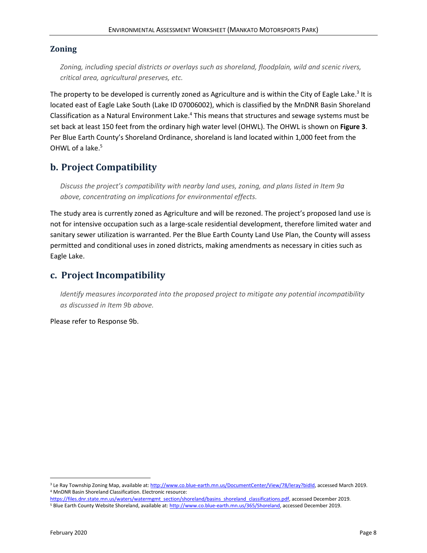#### **Zoning**

*Zoning, including special districts or overlays such as shoreland, floodplain, wild and scenic rivers, critical area, agricultural preserves, etc.*

The property to be developed is currently zoned as Agriculture and is within the City of Eagle Lake.<sup>3</sup> It is located east of Eagle Lake South (Lake ID 07006002), which is classified by the MnDNR Basin Shoreland Classification as a Natural Environment Lake.<sup>4</sup> This means that structures and sewage systems must be set back at least 150 feet from the ordinary high water level (OHWL). The OHWL is shown on **Figure 3**. Per Blue Earth County's Shoreland Ordinance, shoreland is land located within 1,000 feet from the OHWL of a lake.<sup>5</sup>

# **b. Project Compatibility**

*Discuss the project's compatibility with nearby land uses, zoning, and plans listed in Item 9a above, concentrating on implications for environmental effects.*

The study area is currently zoned as Agriculture and will be rezoned. The project's proposed land use is not for intensive occupation such as a large-scale residential development, therefore limited water and sanitary sewer utilization is warranted. Per the Blue Earth County Land Use Plan, the County will assess permitted and conditional uses in zoned districts, making amendments as necessary in cities such as Eagle Lake.

### **c. Project Incompatibility**

*Identify measures incorporated into the proposed project to mitigate any potential incompatibility as discussed in Item 9b above.*

Please refer to Response 9b.

<sup>&</sup>lt;sup>3</sup> Le Ray Township Zoning Map, available at: http://www.co.blue-earth.mn.us/DocumentCenter/View/78/leray?bidld, accessed March 2019. <sup>4</sup> MnDNR Basin Shoreland Classification. Electronic resource:

[https://files.dnr.state.mn.us/waters/watermgmt\\_section/shoreland/basins\\_shoreland\\_classifications.pdf,](https://files.dnr.state.mn.us/waters/watermgmt_section/shoreland/basins_shoreland_classifications.pdf) accessed December 2019. <sup>5</sup> Blue Earth County Website Shoreland, available at[: http://www.co.blue-earth.mn.us/365/Shoreland,](http://www.co.blue-earth.mn.us/365/Shoreland) accessed December 2019.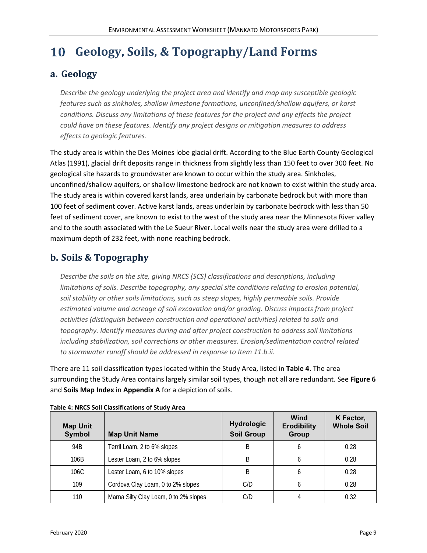#### <span id="page-13-0"></span>**Geology, Soils, & Topography/Land Forms 10**

### **a. Geology**

*Describe the geology underlying the project area and identify and map any susceptible geologic features such as sinkholes, shallow limestone formations, unconfined/shallow aquifers, or karst conditions. Discuss any limitations of these features for the project and any effects the project could have on these features. Identify any project designs or mitigation measures to address effects to geologic features.*

The study area is within the Des Moines lobe glacial drift. According to the Blue Earth County Geological Atlas (1991), glacial drift deposits range in thickness from slightly less than 150 feet to over 300 feet. No geological site hazards to groundwater are known to occur within the study area. Sinkholes, unconfined/shallow aquifers, or shallow limestone bedrock are not known to exist within the study area. The study area is within covered karst lands, area underlain by carbonate bedrock but with more than 100 feet of sediment cover. Active karst lands, areas underlain by carbonate bedrock with less than 50 feet of sediment cover, are known to exist to the west of the study area near the Minnesota River valley and to the south associated with the Le Sueur River. Local wells near the study area were drilled to a maximum depth of 232 feet, with none reaching bedrock.

# **b. Soils & Topography**

*Describe the soils on the site, giving NRCS (SCS) classifications and descriptions, including limitations of soils. Describe topography, any special site conditions relating to erosion potential, soil stability or other soils limitations, such as steep slopes, highly permeable soils. Provide estimated volume and acreage of soil excavation and/or grading. Discuss impacts from project activities (distinguish between construction and operational activities) related to soils and topography. Identify measures during and after project construction to address soil limitations including stabilization, soil corrections or other measures. Erosion/sedimentation control related to stormwater runoff should be addressed in response to Item 11.b.ii.*

There are 11 soil classification types located within the Study Area, listed in **Table 4**. The area surrounding the Study Area contains largely similar soil types, though not all are redundant. See **Figure 6** and **Soils Map Index** in **Appendix A** for a depiction of soils.

| <b>Map Unit</b><br>Symbol | <b>Map Unit Name</b>                  | <b>Hydrologic</b><br><b>Soil Group</b> | Wind<br><b>Erodibility</b><br><b>Group</b> | K Factor,<br><b>Whole Soil</b> |
|---------------------------|---------------------------------------|----------------------------------------|--------------------------------------------|--------------------------------|
| 94 <sub>B</sub>           | Terril Loam, 2 to 6% slopes           | B                                      |                                            | 0.28                           |
| 106B                      | Lester Loam, 2 to 6% slopes           | B                                      |                                            | 0.28                           |
| 106C                      | Lester Loam, 6 to 10% slopes          | B                                      |                                            | 0.28                           |
| 109                       | Cordova Clay Loam, 0 to 2% slopes     | C/D                                    |                                            | 0.28                           |
| 110                       | Marna Silty Clay Loam, 0 to 2% slopes |                                        |                                            | 0.32                           |

#### <span id="page-13-1"></span>**Table 4: NRCS Soil Classifications of Study Area**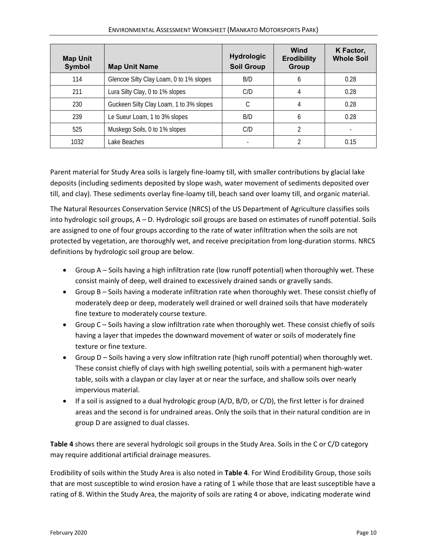| <b>Map Unit</b><br><b>Symbol</b> | <b>Map Unit Name</b>                    | <b>Hydrologic</b><br><b>Soil Group</b> | Wind<br><b>Erodibility</b><br><b>Group</b> | K Factor,<br><b>Whole Soil</b> |
|----------------------------------|-----------------------------------------|----------------------------------------|--------------------------------------------|--------------------------------|
| 114                              | Glencoe Silty Clay Loam, 0 to 1% slopes | B/D                                    |                                            | 0.28                           |
| 211                              | Lura Silty Clay, 0 to 1% slopes         | C/D                                    |                                            | 0.28                           |
| 230                              | Guckeen Silty Clay Loam, 1 to 3% slopes |                                        |                                            | 0.28                           |
| 239                              | Le Sueur Loam, 1 to 3% slopes           | B/D                                    |                                            | 0.28                           |
| 525                              | Muskego Soils, 0 to 1% slopes           | C/D                                    |                                            |                                |
| 1032                             | Lake Beaches                            |                                        |                                            | 0.15                           |

Parent material for Study Area soils is largely fine-loamy till, with smaller contributions by glacial lake deposits (including sediments deposited by slope wash, water movement of sediments deposited over till, and clay). These sediments overlay fine-loamy till, beach sand over loamy till, and organic material.

The Natural Resources Conservation Service (NRCS) of the US Department of Agriculture classifies soils into hydrologic soil groups, A – D. Hydrologic soil groups are based on estimates of runoff potential. Soils are assigned to one of four groups according to the rate of water infiltration when the soils are not protected by vegetation, are thoroughly wet, and receive precipitation from long-duration storms. NRCS definitions by hydrologic soil group are below.

- Group A Soils having a high infiltration rate (low runoff potential) when thoroughly wet. These consist mainly of deep, well drained to excessively drained sands or gravelly sands.
- Group B Soils having a moderate infiltration rate when thoroughly wet. These consist chiefly of moderately deep or deep, moderately well drained or well drained soils that have moderately fine texture to moderately course texture.
- Group C Soils having a slow infiltration rate when thoroughly wet. These consist chiefly of soils having a layer that impedes the downward movement of water or soils of moderately fine texture or fine texture.
- Group D Soils having a very slow infiltration rate (high runoff potential) when thoroughly wet. These consist chiefly of clays with high swelling potential, soils with a permanent high-water table, soils with a claypan or clay layer at or near the surface, and shallow soils over nearly impervious material.
- $\bullet$  If a soil is assigned to a dual hydrologic group (A/D, B/D, or C/D), the first letter is for drained areas and the second is for undrained areas. Only the soils that in their natural condition are in group D are assigned to dual classes.

**Table 4** shows there are several hydrologic soil groups in the Study Area. Soils in the C or C/D category may require additional artificial drainage measures.

Erodibility of soils within the Study Area is also noted in **Table 4**. For Wind Erodibility Group, those soils that are most susceptible to wind erosion have a rating of 1 while those that are least susceptible have a rating of 8. Within the Study Area, the majority of soils are rating 4 or above, indicating moderate wind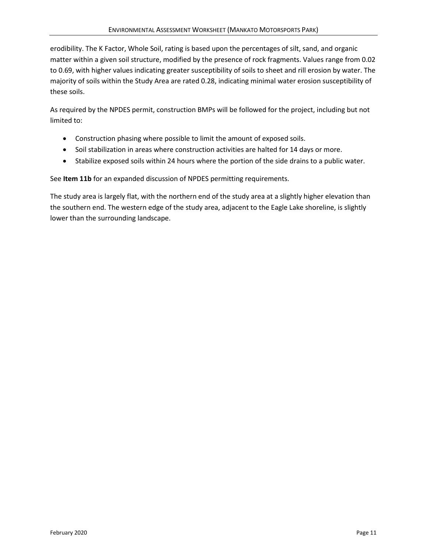erodibility. The K Factor, Whole Soil, rating is based upon the percentages of silt, sand, and organic matter within a given soil structure, modified by the presence of rock fragments. Values range from 0.02 to 0.69, with higher values indicating greater susceptibility of soils to sheet and rill erosion by water. The majority of soils within the Study Area are rated 0.28, indicating minimal water erosion susceptibility of these soils.

As required by the NPDES permit, construction BMPs will be followed for the project, including but not limited to:

- Construction phasing where possible to limit the amount of exposed soils.
- Soil stabilization in areas where construction activities are halted for 14 days or more.
- Stabilize exposed soils within 24 hours where the portion of the side drains to a public water.

See **Item 11b** for an expanded discussion of NPDES permitting requirements.

The study area is largely flat, with the northern end of the study area at a slightly higher elevation than the southern end. The western edge of the study area, adjacent to the Eagle Lake shoreline, is slightly lower than the surrounding landscape.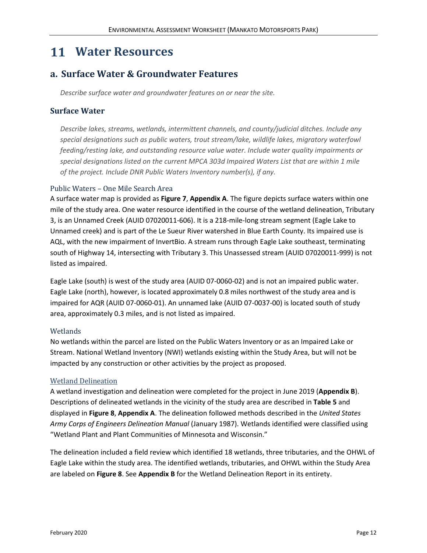# <span id="page-16-0"></span>**Water Resources**

# **a. Surface Water & Groundwater Features**

*Describe surface water and groundwater features on or near the site.*

#### **Surface Water**

*Describe lakes, streams, wetlands, intermittent channels, and county/judicial ditches. Include any special designations such as public waters, trout stream/lake, wildlife lakes, migratory waterfowl feeding/resting lake, and outstanding resource value water. Include water quality impairments or special designations listed on the current MPCA 303d Impaired Waters List that are within 1 mile of the project. Include DNR Public Waters Inventory number(s), if any.*

#### Public Waters – One Mile Search Area

A surface water map is provided as **Figure 7**, **Appendix A**. The figure depicts surface waters within one mile of the study area. One water resource identified in the course of the wetland delineation, Tributary 3, is an Unnamed Creek (AUID 07020011-606). It is a 218-mile-long stream segment (Eagle Lake to Unnamed creek) and is part of the Le Sueur River watershed in Blue Earth County. Its impaired use is AQL, with the new impairment of InvertBio. A stream runs through Eagle Lake southeast, terminating south of Highway 14, intersecting with Tributary 3. This Unassessed stream (AUID 07020011-999) is not listed as impaired.

Eagle Lake (south) is west of the study area (AUID 07-0060-02) and is not an impaired public water. Eagle Lake (north), however, is located approximately 0.8 miles northwest of the study area and is impaired for AQR (AUID 07-0060-01). An unnamed lake (AUID 07-0037-00) is located south of study area, approximately 0.3 miles, and is not listed as impaired.

#### Wetlands

No wetlands within the parcel are listed on the Public Waters Inventory or as an Impaired Lake or Stream. National Wetland Inventory (NWI) wetlands existing within the Study Area, but will not be impacted by any construction or other activities by the project as proposed.

#### Wetland Delineation

A wetland investigation and delineation were completed for the project in June 2019 (**Appendix B**). Descriptions of delineated wetlands in the vicinity of the study area are described in **Table 5** and displayed in **Figure 8**, **Appendix A**. The delineation followed methods described in the *United States Army Corps of Engineers Delineation Manual* (January 1987). Wetlands identified were classified using "Wetland Plant and Plant Communities of Minnesota and Wisconsin."

The delineation included a field review which identified 18 wetlands, three tributaries, and the OHWL of Eagle Lake within the study area. The identified wetlands, tributaries, and OHWL within the Study Area are labeled on **Figure 8**. See **Appendix B** for the Wetland Delineation Report in its entirety.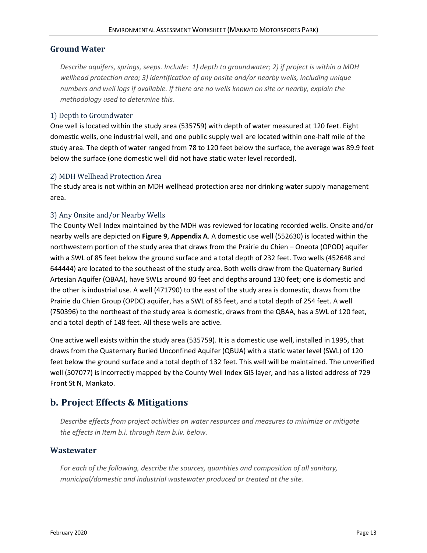#### **Ground Water**

*Describe aquifers, springs, seeps. Include: 1) depth to groundwater; 2) if project is within a MDH wellhead protection area; 3) identification of any onsite and/or nearby wells, including unique numbers and well logs if available. If there are no wells known on site or nearby, explain the methodology used to determine this.*

#### 1) Depth to Groundwater

One well is located within the study area (535759) with depth of water measured at 120 feet. Eight domestic wells, one industrial well, and one public supply well are located within one-half mile of the study area. The depth of water ranged from 78 to 120 feet below the surface, the average was 89.9 feet below the surface (one domestic well did not have static water level recorded).

#### 2) MDH Wellhead Protection Area

The study area is not within an MDH wellhead protection area nor drinking water supply management area.

#### 3) Any Onsite and/or Nearby Wells

The County Well Index maintained by the MDH was reviewed for locating recorded wells. Onsite and/or nearby wells are depicted on **Figure 9**, **Appendix A**. A domestic use well (552630) is located within the northwestern portion of the study area that draws from the Prairie du Chien – Oneota (OPOD) aquifer with a SWL of 85 feet below the ground surface and a total depth of 232 feet. Two wells (452648 and 644444) are located to the southeast of the study area. Both wells draw from the Quaternary Buried Artesian Aquifer (QBAA), have SWLs around 80 feet and depths around 130 feet; one is domestic and the other is industrial use. A well (471790) to the east of the study area is domestic, draws from the Prairie du Chien Group (OPDC) aquifer, has a SWL of 85 feet, and a total depth of 254 feet. A well (750396) to the northeast of the study area is domestic, draws from the QBAA, has a SWL of 120 feet, and a total depth of 148 feet. All these wells are active.

One active well exists within the study area (535759). It is a domestic use well, installed in 1995, that draws from the Quaternary Buried Unconfined Aquifer (QBUA) with a static water level (SWL) of 120 feet below the ground surface and a total depth of 132 feet. This well will be maintained. The unverified well (507077) is incorrectly mapped by the County Well Index GIS layer, and has a listed address of 729 Front St N, Mankato.

# **b. Project Effects & Mitigations**

*Describe effects from project activities on water resources and measures to minimize or mitigate the effects in Item b.i. through Item b.iv. below.*

#### **Wastewater**

*For each of the following, describe the sources, quantities and composition of all sanitary, municipal/domestic and industrial wastewater produced or treated at the site.*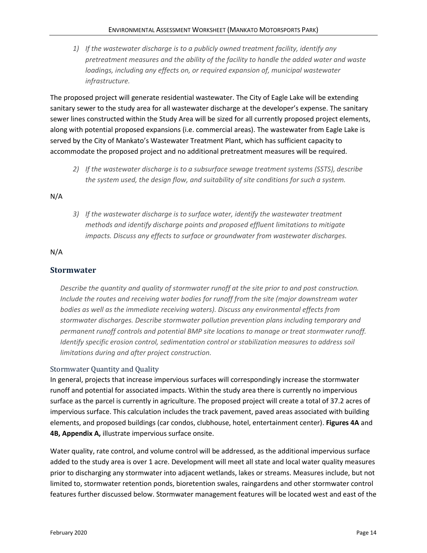*1) If the wastewater discharge is to a publicly owned treatment facility, identify any pretreatment measures and the ability of the facility to handle the added water and waste loadings, including any effects on, or required expansion of, municipal wastewater infrastructure.*

The proposed project will generate residential wastewater. The City of Eagle Lake will be extending sanitary sewer to the study area for all wastewater discharge at the developer's expense. The sanitary sewer lines constructed within the Study Area will be sized for all currently proposed project elements, along with potential proposed expansions (i.e. commercial areas). The wastewater from Eagle Lake is served by the City of Mankato's Wastewater Treatment Plant, which has sufficient capacity to accommodate the proposed project and no additional pretreatment measures will be required.

*2) If the wastewater discharge is to a subsurface sewage treatment systems (SSTS), describe the system used, the design flow, and suitability of site conditions for such a system.*

N/A

*3) If the wastewater discharge is to surface water, identify the wastewater treatment methods and identify discharge points and proposed effluent limitations to mitigate impacts. Discuss any effects to surface or groundwater from wastewater discharges.*

N/A

#### **Stormwater**

*Describe the quantity and quality of stormwater runoff at the site prior to and post construction. Include the routes and receiving water bodies for runoff from the site (major downstream water bodies as well as the immediate receiving waters). Discuss any environmental effects from stormwater discharges. Describe stormwater pollution prevention plans including temporary and permanent runoff controls and potential BMP site locations to manage or treat stormwater runoff. Identify specific erosion control, sedimentation control or stabilization measures to address soil limitations during and after project construction.*

#### Stormwater Quantity and Quality

In general, projects that increase impervious surfaces will correspondingly increase the stormwater runoff and potential for associated impacts. Within the study area there is currently no impervious surface as the parcel is currently in agriculture. The proposed project will create a total of 37.2 acres of impervious surface. This calculation includes the track pavement, paved areas associated with building elements, and proposed buildings (car condos, clubhouse, hotel, entertainment center). **Figures 4A** and **4B, Appendix A,** illustrate impervious surface onsite.

Water quality, rate control, and volume control will be addressed, as the additional impervious surface added to the study area is over 1 acre. Development will meet all state and local water quality measures prior to discharging any stormwater into adjacent wetlands, lakes or streams. Measures include, but not limited to, stormwater retention ponds, bioretention swales, raingardens and other stormwater control features further discussed below. Stormwater management features will be located west and east of the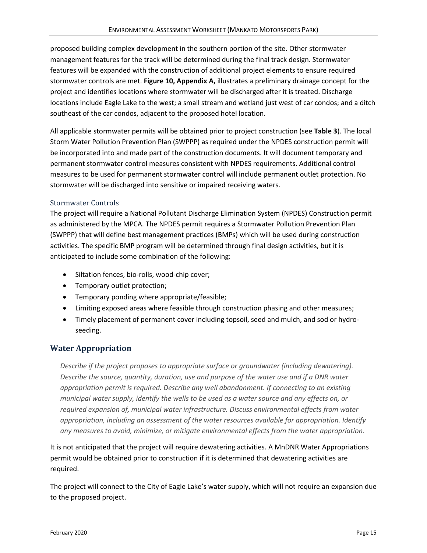proposed building complex development in the southern portion of the site. Other stormwater management features for the track will be determined during the final track design. Stormwater features will be expanded with the construction of additional project elements to ensure required stormwater controls are met. **Figure 10, Appendix A,** illustrates a preliminary drainage concept for the project and identifies locations where stormwater will be discharged after it is treated. Discharge locations include Eagle Lake to the west; a small stream and wetland just west of car condos; and a ditch southeast of the car condos, adjacent to the proposed hotel location.

All applicable stormwater permits will be obtained prior to project construction (see **Table 3**). The local Storm Water Pollution Prevention Plan (SWPPP) as required under the NPDES construction permit will be incorporated into and made part of the construction documents. It will document temporary and permanent stormwater control measures consistent with NPDES requirements. Additional control measures to be used for permanent stormwater control will include permanent outlet protection. No stormwater will be discharged into sensitive or impaired receiving waters.

#### Stormwater Controls

The project will require a National Pollutant Discharge Elimination System (NPDES) Construction permit as administered by the MPCA. The NPDES permit requires a Stormwater Pollution Prevention Plan (SWPPP) that will define best management practices (BMPs) which will be used during construction activities. The specific BMP program will be determined through final design activities, but it is anticipated to include some combination of the following:

- Siltation fences, bio-rolls, wood-chip cover;
- Temporary outlet protection;
- Temporary ponding where appropriate/feasible;
- Limiting exposed areas where feasible through construction phasing and other measures;
- Timely placement of permanent cover including topsoil, seed and mulch, and sod or hydroseeding.

#### **Water Appropriation**

*Describe if the project proposes to appropriate surface or groundwater (including dewatering). Describe the source, quantity, duration, use and purpose of the water use and if a DNR water appropriation permit is required. Describe any well abandonment. If connecting to an existing municipal water supply, identify the wells to be used as a water source and any effects on, or required expansion of, municipal water infrastructure. Discuss environmental effects from water appropriation, including an assessment of the water resources available for appropriation. Identify any measures to avoid, minimize, or mitigate environmental effects from the water appropriation.*

It is not anticipated that the project will require dewatering activities. A MnDNR Water Appropriations permit would be obtained prior to construction if it is determined that dewatering activities are required.

The project will connect to the City of Eagle Lake's water supply, which will not require an expansion due to the proposed project.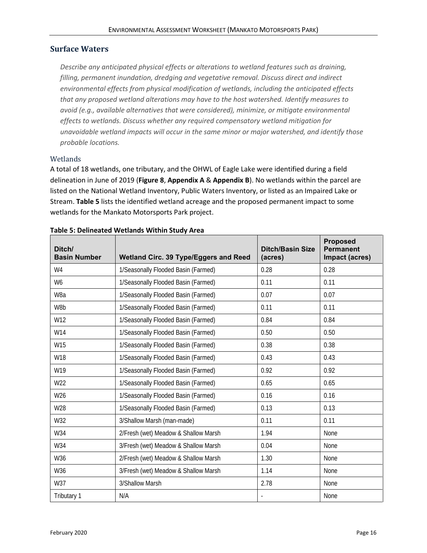#### **Surface Waters**

*Describe any anticipated physical effects or alterations to wetland features such as draining, filling, permanent inundation, dredging and vegetative removal. Discuss direct and indirect environmental effects from physical modification of wetlands, including the anticipated effects that any proposed wetland alterations may have to the host watershed. Identify measures to avoid (e.g., available alternatives that were considered), minimize, or mitigate environmental effects to wetlands. Discuss whether any required compensatory wetland mitigation for unavoidable wetland impacts will occur in the same minor or major watershed, and identify those probable locations.*

#### Wetlands

A total of 18 wetlands, one tributary, and the OHWL of Eagle Lake were identified during a field delineation in June of 2019 (**Figure 8**, **Appendix A** & **Appendix B**). No wetlands within the parcel are listed on the National Wetland Inventory, Public Waters Inventory, or listed as an Impaired Lake or Stream. **Table 5** lists the identified wetland acreage and the proposed permanent impact to some wetlands for the Mankato Motorsports Park project.

| Ditch/<br><b>Basin Number</b> | Wetland Circ. 39 Type/Eggers and Reed | <b>Ditch/Basin Size</b><br>(acres) | <b>Proposed</b><br><b>Permanent</b><br>Impact (acres) |
|-------------------------------|---------------------------------------|------------------------------------|-------------------------------------------------------|
| W4                            | 1/Seasonally Flooded Basin (Farmed)   | 0.28                               | 0.28                                                  |
| W6                            | 1/Seasonally Flooded Basin (Farmed)   | 0.11                               | 0.11                                                  |
| W8a                           | 1/Seasonally Flooded Basin (Farmed)   | 0.07                               | 0.07                                                  |
| W8b                           | 1/Seasonally Flooded Basin (Farmed)   | 0.11                               | 0.11                                                  |
| W12                           | 1/Seasonally Flooded Basin (Farmed)   | 0.84                               | 0.84                                                  |
| W14                           | 1/Seasonally Flooded Basin (Farmed)   | 0.50                               | 0.50                                                  |
| W15                           | 1/Seasonally Flooded Basin (Farmed)   | 0.38                               | 0.38                                                  |
| W18                           | 1/Seasonally Flooded Basin (Farmed)   | 0.43                               | 0.43                                                  |
| W19                           | 1/Seasonally Flooded Basin (Farmed)   | 0.92                               | 0.92                                                  |
| W22                           | 1/Seasonally Flooded Basin (Farmed)   | 0.65                               | 0.65                                                  |
| W26                           | 1/Seasonally Flooded Basin (Farmed)   | 0.16                               | 0.16                                                  |
| W28                           | 1/Seasonally Flooded Basin (Farmed)   | 0.13                               | 0.13                                                  |
| W32                           | 3/Shallow Marsh (man-made)            | 0.11                               | 0.11                                                  |
| W34                           | 2/Fresh (wet) Meadow & Shallow Marsh  | 1.94                               | None                                                  |
| W34                           | 3/Fresh (wet) Meadow & Shallow Marsh  | 0.04                               | None                                                  |
| W36                           | 2/Fresh (wet) Meadow & Shallow Marsh  | 1.30                               | None                                                  |
| W36                           | 3/Fresh (wet) Meadow & Shallow Marsh  | 1.14                               | None                                                  |
| W37                           | 3/Shallow Marsh                       | 2.78                               | None                                                  |
| Tributary 1                   | N/A                                   |                                    | None                                                  |

#### <span id="page-20-0"></span>**Table 5: Delineated Wetlands Within Study Area**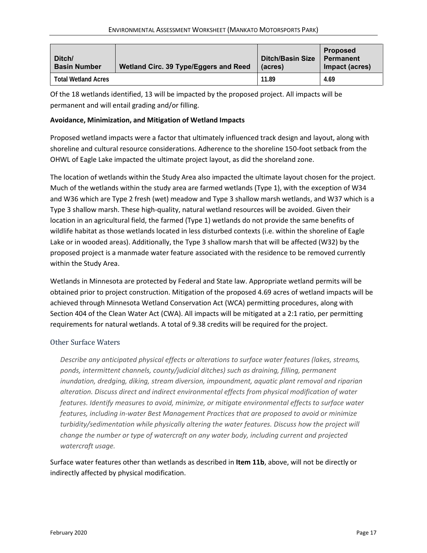| Ditch/<br><b>Basin Number</b> | Wetland Circ. 39 Type/Eggers and Reed | <b>Ditch/Basin Size</b><br>(acres) | <b>Proposed</b><br>Permanent<br>Impact (acres) |
|-------------------------------|---------------------------------------|------------------------------------|------------------------------------------------|
| Total Wetland Acres           |                                       | 11.89                              | 4.69                                           |

Of the 18 wetlands identified, 13 will be impacted by the proposed project. All impacts will be permanent and will entail grading and/or filling.

#### **Avoidance, Minimization, and Mitigation of Wetland Impacts**

Proposed wetland impacts were a factor that ultimately influenced track design and layout, along with shoreline and cultural resource considerations. Adherence to the shoreline 150-foot setback from the OHWL of Eagle Lake impacted the ultimate project layout, as did the shoreland zone.

The location of wetlands within the Study Area also impacted the ultimate layout chosen for the project. Much of the wetlands within the study area are farmed wetlands (Type 1), with the exception of W34 and W36 which are Type 2 fresh (wet) meadow and Type 3 shallow marsh wetlands, and W37 which is a Type 3 shallow marsh. These high-quality, natural wetland resources will be avoided. Given their location in an agricultural field, the farmed (Type 1) wetlands do not provide the same benefits of wildlife habitat as those wetlands located in less disturbed contexts (i.e. within the shoreline of Eagle Lake or in wooded areas). Additionally, the Type 3 shallow marsh that will be affected (W32) by the proposed project is a manmade water feature associated with the residence to be removed currently within the Study Area.

Wetlands in Minnesota are protected by Federal and State law. Appropriate wetland permits will be obtained prior to project construction. Mitigation of the proposed 4.69 acres of wetland impacts will be achieved through Minnesota Wetland Conservation Act (WCA) permitting procedures, along with Section 404 of the Clean Water Act (CWA). All impacts will be mitigated at a 2:1 ratio, per permitting requirements for natural wetlands. A total of 9.38 credits will be required for the project.

#### Other Surface Waters

*Describe any anticipated physical effects or alterations to surface water features (lakes, streams, ponds, intermittent channels, county/judicial ditches) such as draining, filling, permanent inundation, dredging, diking, stream diversion, impoundment, aquatic plant removal and riparian alteration. Discuss direct and indirect environmental effects from physical modification of water features. Identify measures to avoid, minimize, or mitigate environmental effects to surface water features, including in-water Best Management Practices that are proposed to avoid or minimize turbidity/sedimentation while physically altering the water features. Discuss how the project will change the number or type of watercraft on any water body, including current and projected watercraft usage.*

Surface water features other than wetlands as described in **Item 11b**, above, will not be directly or indirectly affected by physical modification.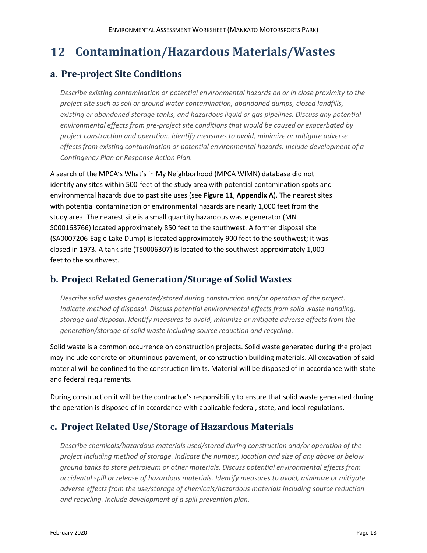# <span id="page-22-0"></span>**Contamination/Hazardous Materials/Wastes**

### **a. Pre-project Site Conditions**

*Describe existing contamination or potential environmental hazards on or in close proximity to the project site such as soil or ground water contamination, abandoned dumps, closed landfills, existing or abandoned storage tanks, and hazardous liquid or gas pipelines. Discuss any potential environmental effects from pre-project site conditions that would be caused or exacerbated by project construction and operation. Identify measures to avoid, minimize or mitigate adverse effects from existing contamination or potential environmental hazards. Include development of a Contingency Plan or Response Action Plan.*

A search of the MPCA's What's in My Neighborhood (MPCA WIMN) database did not identify any sites within 500-feet of the study area with potential contamination spots and environmental hazards due to past site uses (see **Figure 11**, **Appendix A**). The nearest sites with potential contamination or environmental hazards are nearly 1,000 feet from the study area. The nearest site is a small quantity hazardous waste generator (MN S000163766) located approximately 850 feet to the southwest. A former disposal site (SA0007206-Eagle Lake Dump) is located approximately 900 feet to the southwest; it was closed in 1973. A tank site (TS0006307) is located to the southwest approximately 1,000 feet to the southwest.

# **b. Project Related Generation/Storage of Solid Wastes**

*Describe solid wastes generated/stored during construction and/or operation of the project. Indicate method of disposal. Discuss potential environmental effects from solid waste handling, storage and disposal. Identify measures to avoid, minimize or mitigate adverse effects from the generation/storage of solid waste including source reduction and recycling.*

Solid waste is a common occurrence on construction projects. Solid waste generated during the project may include concrete or bituminous pavement, or construction building materials. All excavation of said material will be confined to the construction limits. Material will be disposed of in accordance with state and federal requirements.

During construction it will be the contractor's responsibility to ensure that solid waste generated during the operation is disposed of in accordance with applicable federal, state, and local regulations.

# **c. Project Related Use/Storage of Hazardous Materials**

*Describe chemicals/hazardous materials used/stored during construction and/or operation of the project including method of storage. Indicate the number, location and size of any above or below ground tanks to store petroleum or other materials. Discuss potential environmental effects from accidental spill or release of hazardous materials. Identify measures to avoid, minimize or mitigate adverse effects from the use/storage of chemicals/hazardous materials including source reduction and recycling. Include development of a spill prevention plan.*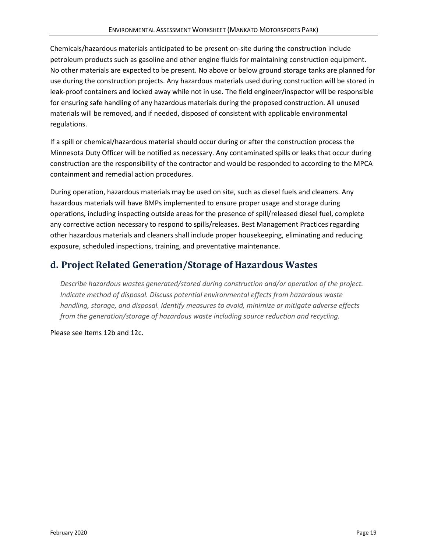Chemicals/hazardous materials anticipated to be present on-site during the construction include petroleum products such as gasoline and other engine fluids for maintaining construction equipment. No other materials are expected to be present. No above or below ground storage tanks are planned for use during the construction projects. Any hazardous materials used during construction will be stored in leak-proof containers and locked away while not in use. The field engineer/inspector will be responsible for ensuring safe handling of any hazardous materials during the proposed construction. All unused materials will be removed, and if needed, disposed of consistent with applicable environmental regulations.

If a spill or chemical/hazardous material should occur during or after the construction process the Minnesota Duty Officer will be notified as necessary. Any contaminated spills or leaks that occur during construction are the responsibility of the contractor and would be responded to according to the MPCA containment and remedial action procedures.

During operation, hazardous materials may be used on site, such as diesel fuels and cleaners. Any hazardous materials will have BMPs implemented to ensure proper usage and storage during operations, including inspecting outside areas for the presence of spill/released diesel fuel, complete any corrective action necessary to respond to spills/releases. Best Management Practices regarding other hazardous materials and cleaners shall include proper housekeeping, eliminating and reducing exposure, scheduled inspections, training, and preventative maintenance.

# **d. Project Related Generation/Storage of Hazardous Wastes**

*Describe hazardous wastes generated/stored during construction and/or operation of the project. Indicate method of disposal. Discuss potential environmental effects from hazardous waste handling, storage, and disposal. Identify measures to avoid, minimize or mitigate adverse effects from the generation/storage of hazardous waste including source reduction and recycling.*

Please see Items 12b and 12c.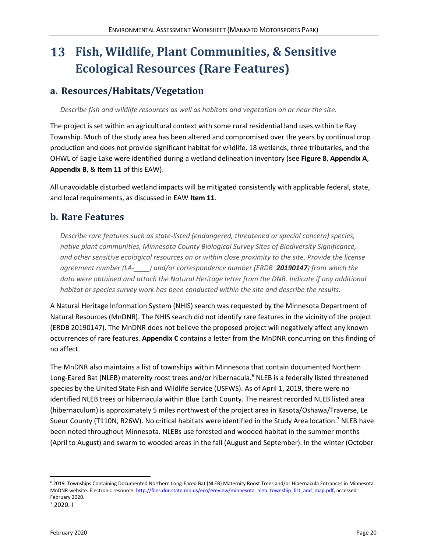### <span id="page-24-0"></span>13 **Fish, Wildlife, Plant Communities, & Sensitive Ecological Resources (Rare Features)**

# **a. Resources/Habitats/Vegetation**

*Describe fish and wildlife resources as well as habitats and vegetation on or near the site.*

The project is set within an agricultural context with some rural residential land uses within Le Ray Township. Much of the study area has been altered and compromised over the years by continual crop production and does not provide significant habitat for wildlife. 18 wetlands, three tributaries, and the OHWL of Eagle Lake were identified during a wetland delineation inventory (see **Figure 8**, **Appendix A**, **Appendix B**, & **Item 11** of this EAW).

All unavoidable disturbed wetland impacts will be mitigated consistently with applicable federal, state, and local requirements, as discussed in EAW **Item 11**.

### **b. Rare Features**

*Describe rare features such as state-listed (endangered, threatened or special concern) species, native plant communities, Minnesota County Biological Survey Sites of Biodiversity Significance, and other sensitive ecological resources on or within close proximity to the site. Provide the license agreement number (LA-\_\_\_\_) and/or correspondence number (ERDB 20190147) from which the data were obtained and attach the Natural Heritage letter from the DNR. Indicate if any additional habitat or species survey work has been conducted within the site and describe the results.*

A Natural Heritage Information System (NHIS) search was requested by the Minnesota Department of Natural Resources (MnDNR). The NHIS search did not identify rare features in the vicinity of the project (ERDB 20190147). The MnDNR does not believe the proposed project will negatively affect any known occurrences of rare features. **Appendix C** contains a letter from the MnDNR concurring on this finding of no affect.

The MnDNR also maintains a list of townships within Minnesota that contain documented Northern Long-Eared Bat (NLEB) maternity roost trees and/or hibernacula.<sup>6</sup> NLEB is a federally listed threatened species by the United State Fish and Wildlife Service (USFWS). As of April 1, 2019, there were no identified NLEB trees or hibernacula within Blue Earth County. The nearest recorded NLEB listed area (hibernaculum) is approximately 5 miles northwest of the project area in Kasota/Oshawa/Traverse, Le Sueur County (T110N, R26W). No critical habitats were identified in the Study Area location.<sup>7</sup> NLEB have been noted throughout Minnesota. NLEBs use forested and wooded habitat in the summer months (April to August) and swarm to wooded areas in the fall (August and September). In the winter (October

<sup>6</sup> 2019. Townships Containing Documented Northern Long-Eared Bat (NLEB) Maternity Roost Trees and/or Hibernacula Entrances in Minnesota. MnDNR website. Electronic resource[: http://files.dnr.state.mn.us/eco/ereview/minnesota\\_nleb\\_township\\_list\\_and\\_map.pdf,](http://files.dnr.state.mn.us/eco/ereview/minnesota_nleb_township_list_and_map.pdf) accessed February 2020.

<sup>7</sup> 2020. I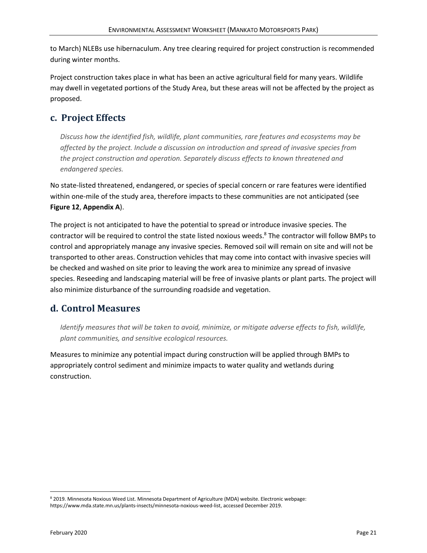to March) NLEBs use hibernaculum. Any tree clearing required for project construction is recommended during winter months.

Project construction takes place in what has been an active agricultural field for many years. Wildlife may dwell in vegetated portions of the Study Area, but these areas will not be affected by the project as proposed.

# **c. Project Effects**

*Discuss how the identified fish, wildlife, plant communities, rare features and ecosystems may be affected by the project. Include a discussion on introduction and spread of invasive species from the project construction and operation. Separately discuss effects to known threatened and endangered species.*

No state-listed threatened, endangered, or species of special concern or rare features were identified within one-mile of the study area, therefore impacts to these communities are not anticipated (see **Figure 12**, **Appendix A**).

The project is not anticipated to have the potential to spread or introduce invasive species. The contractor will be required to control the state listed noxious weeds. <sup>8</sup> The contractor will follow BMPs to control and appropriately manage any invasive species. Removed soil will remain on site and will not be transported to other areas. Construction vehicles that may come into contact with invasive species will be checked and washed on site prior to leaving the work area to minimize any spread of invasive species. Reseeding and landscaping material will be free of invasive plants or plant parts. The project will also minimize disturbance of the surrounding roadside and vegetation.

# **d. Control Measures**

*Identify measures that will be taken to avoid, minimize, or mitigate adverse effects to fish, wildlife, plant communities, and sensitive ecological resources.*

Measures to minimize any potential impact during construction will be applied through BMPs to appropriately control sediment and minimize impacts to water quality and wetlands during construction.

<sup>8</sup> 2019. Minnesota Noxious Weed List. Minnesota Department of Agriculture (MDA) website. Electronic webpage: [https://www.mda.state.mn.us/plants-insects/minnesota-noxious-weed-list,](https://www.mda.state.mn.us/plants-insects/minnesota-noxious-weed-list) accessed December 2019.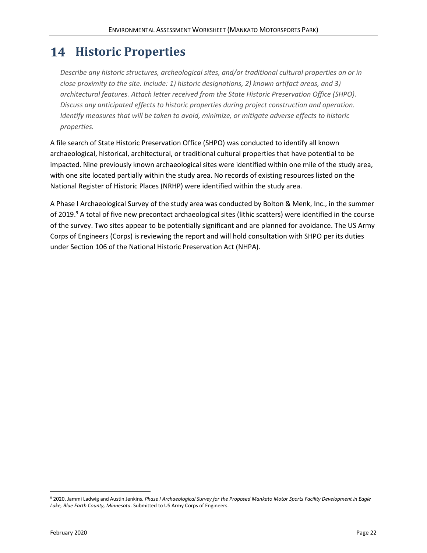# <span id="page-26-0"></span>**14 Historic Properties**

*Describe any historic structures, archeological sites, and/or traditional cultural properties on or in close proximity to the site. Include: 1) historic designations, 2) known artifact areas, and 3) architectural features. Attach letter received from the State Historic Preservation Office (SHPO). Discuss any anticipated effects to historic properties during project construction and operation. Identify measures that will be taken to avoid, minimize, or mitigate adverse effects to historic properties.*

A file search of State Historic Preservation Office (SHPO) was conducted to identify all known archaeological, historical, architectural, or traditional cultural properties that have potential to be impacted. Nine previously known archaeological sites were identified within one mile of the study area, with one site located partially within the study area. No records of existing resources listed on the National Register of Historic Places (NRHP) were identified within the study area.

A Phase I Archaeological Survey of the study area was conducted by Bolton & Menk, Inc., in the summer of 2019.<sup>9</sup> A total of five new precontact archaeological sites (lithic scatters) were identified in the course of the survey. Two sites appear to be potentially significant and are planned for avoidance. The US Army Corps of Engineers (Corps) is reviewing the report and will hold consultation with SHPO per its duties under Section 106 of the National Historic Preservation Act (NHPA).

<sup>9</sup> 2020. Jammi Ladwig and Austin Jenkins. *Phase I Archaeological Survey for the Proposed Mankato Motor Sports Facility Development in Eagle Lake, Blue Earth County, Minnesota*. Submitted to US Army Corps of Engineers.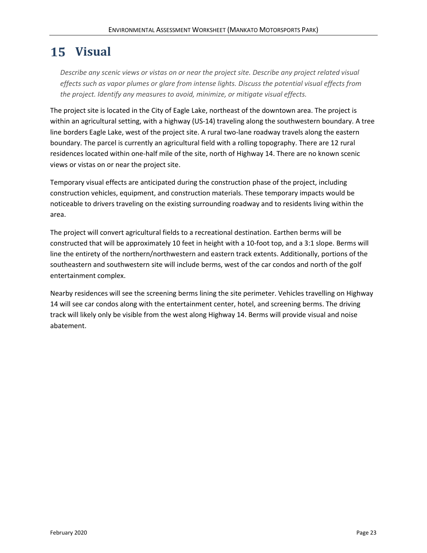# <span id="page-27-0"></span>15 Visual

*Describe any scenic views or vistas on or near the project site. Describe any project related visual effects such as vapor plumes or glare from intense lights. Discuss the potential visual effects from the project. Identify any measures to avoid, minimize, or mitigate visual effects.*

The project site is located in the City of Eagle Lake, northeast of the downtown area. The project is within an agricultural setting, with a highway (US-14) traveling along the southwestern boundary. A tree line borders Eagle Lake, west of the project site. A rural two-lane roadway travels along the eastern boundary. The parcel is currently an agricultural field with a rolling topography. There are 12 rural residences located within one-half mile of the site, north of Highway 14. There are no known scenic views or vistas on or near the project site.

Temporary visual effects are anticipated during the construction phase of the project, including construction vehicles, equipment, and construction materials. These temporary impacts would be noticeable to drivers traveling on the existing surrounding roadway and to residents living within the area.

The project will convert agricultural fields to a recreational destination. Earthen berms will be constructed that will be approximately 10 feet in height with a 10-foot top, and a 3:1 slope. Berms will line the entirety of the northern/northwestern and eastern track extents. Additionally, portions of the southeastern and southwestern site will include berms, west of the car condos and north of the golf entertainment complex.

Nearby residences will see the screening berms lining the site perimeter. Vehicles travelling on Highway 14 will see car condos along with the entertainment center, hotel, and screening berms. The driving track will likely only be visible from the west along Highway 14. Berms will provide visual and noise abatement.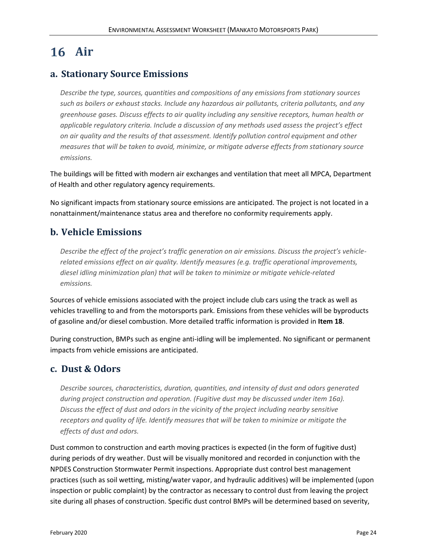# <span id="page-28-0"></span>16 Air

### **a. Stationary Source Emissions**

*Describe the type, sources, quantities and compositions of any emissions from stationary sources such as boilers or exhaust stacks. Include any hazardous air pollutants, criteria pollutants, and any greenhouse gases. Discuss effects to air quality including any sensitive receptors, human health or applicable regulatory criteria. Include a discussion of any methods used assess the project's effect on air quality and the results of that assessment. Identify pollution control equipment and other measures that will be taken to avoid, minimize, or mitigate adverse effects from stationary source emissions.*

The buildings will be fitted with modern air exchanges and ventilation that meet all MPCA, Department of Health and other regulatory agency requirements.

No significant impacts from stationary source emissions are anticipated. The project is not located in a nonattainment/maintenance status area and therefore no conformity requirements apply.

### **b. Vehicle Emissions**

*Describe the effect of the project's traffic generation on air emissions. Discuss the project's vehiclerelated emissions effect on air quality. Identify measures (e.g. traffic operational improvements, diesel idling minimization plan) that will be taken to minimize or mitigate vehicle-related emissions.*

Sources of vehicle emissions associated with the project include club cars using the track as well as vehicles travelling to and from the motorsports park. Emissions from these vehicles will be byproducts of gasoline and/or diesel combustion. More detailed traffic information is provided in **Item 18**.

During construction, BMPs such as engine anti-idling will be implemented. No significant or permanent impacts from vehicle emissions are anticipated.

# **c. Dust & Odors**

*Describe sources, characteristics, duration, quantities, and intensity of dust and odors generated during project construction and operation. (Fugitive dust may be discussed under item 16a). Discuss the effect of dust and odors in the vicinity of the project including nearby sensitive receptors and quality of life. Identify measures that will be taken to minimize or mitigate the effects of dust and odors.*

Dust common to construction and earth moving practices is expected (in the form of fugitive dust) during periods of dry weather. Dust will be visually monitored and recorded in conjunction with the NPDES Construction Stormwater Permit inspections. Appropriate dust control best management practices (such as soil wetting, misting/water vapor, and hydraulic additives) will be implemented (upon inspection or public complaint) by the contractor as necessary to control dust from leaving the project site during all phases of construction. Specific dust control BMPs will be determined based on severity,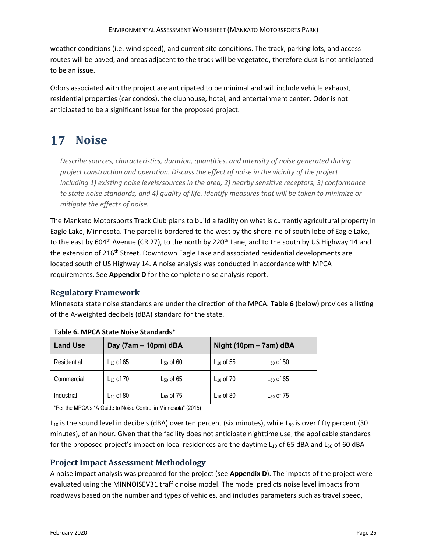weather conditions (i.e. wind speed), and current site conditions. The track, parking lots, and access routes will be paved, and areas adjacent to the track will be vegetated, therefore dust is not anticipated to be an issue.

Odors associated with the project are anticipated to be minimal and will include vehicle exhaust, residential properties (car condos), the clubhouse, hotel, and entertainment center. Odor is not anticipated to be a significant issue for the proposed project.

# <span id="page-29-0"></span>17 Noise

*Describe sources, characteristics, duration, quantities, and intensity of noise generated during project construction and operation. Discuss the effect of noise in the vicinity of the project including 1) existing noise levels/sources in the area, 2) nearby sensitive receptors, 3) conformance to state noise standards, and 4) quality of life. Identify measures that will be taken to minimize or mitigate the effects of noise.*

The Mankato Motorsports Track Club plans to build a facility on what is currently agricultural property in Eagle Lake, Minnesota. The parcel is bordered to the west by the shoreline of south lobe of Eagle Lake, to the east by 604<sup>th</sup> Avenue (CR 27), to the north by 220<sup>th</sup> Lane, and to the south by US Highway 14 and the extension of 216<sup>th</sup> Street. Downtown Eagle Lake and associated residential developments are located south of US Highway 14. A noise analysis was conducted in accordance with MPCA requirements. See **Appendix D** for the complete noise analysis report.

### **Regulatory Framework**

Minnesota state noise standards are under the direction of the MPCA. **Table 6** (below) provides a listing of the A-weighted decibels (dBA) standard for the state.

| <b>Land Use</b> | Day (7am - 10pm) dBA |                | Night (10pm – 7am) dBA |                |
|-----------------|----------------------|----------------|------------------------|----------------|
| Residential     | L10 Of 65            | $L_{50}$ of 60 | $L_{10}$ of $55$       | $L_{50}$ of 50 |
| Commercial      | $L_{10}$ of 70       | $L_{50}$ of 65 | $L_{10}$ of 70         | $L_{50}$ of 65 |
| Industrial      | $L_{10}$ of 80       | $L_{50}$ of 75 | $L_{10}$ of 80         | $L_{50}$ of 75 |

<span id="page-29-1"></span>**Table 6. MPCA State Noise Standards\***

\*Per the MPCA's "A Guide to Noise Control in Minnesota" (2015)

 $L_{10}$  is the sound level in decibels (dBA) over ten percent (six minutes), while  $L_{50}$  is over fifty percent (30 minutes), of an hour. Given that the facility does not anticipate nighttime use, the applicable standards for the proposed project's impact on local residences are the daytime  $L_{10}$  of 65 dBA and  $L_{50}$  of 60 dBA

#### **Project Impact Assessment Methodology**

A noise impact analysis was prepared for the project (see **Appendix D**). The impacts of the project were evaluated using the MINNOISEV31 traffic noise model. The model predicts noise level impacts from roadways based on the number and types of vehicles, and includes parameters such as travel speed,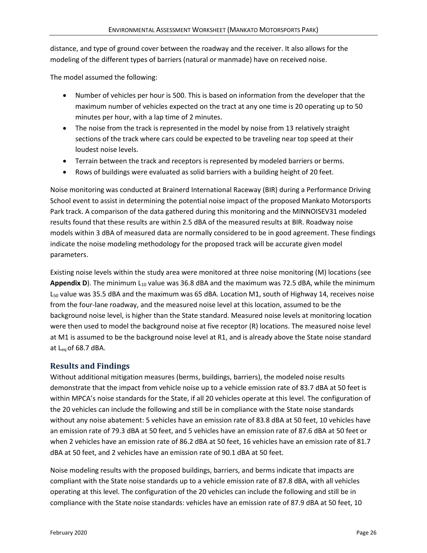distance, and type of ground cover between the roadway and the receiver. It also allows for the modeling of the different types of barriers (natural or manmade) have on received noise.

The model assumed the following:

- Number of vehicles per hour is 500. This is based on information from the developer that the maximum number of vehicles expected on the tract at any one time is 20 operating up to 50 minutes per hour, with a lap time of 2 minutes.
- The noise from the track is represented in the model by noise from 13 relatively straight sections of the track where cars could be expected to be traveling near top speed at their loudest noise levels.
- Terrain between the track and receptors is represented by modeled barriers or berms.
- Rows of buildings were evaluated as solid barriers with a building height of 20 feet.

Noise monitoring was conducted at Brainerd International Raceway (BIR) during a Performance Driving School event to assist in determining the potential noise impact of the proposed Mankato Motorsports Park track. A comparison of the data gathered during this monitoring and the MINNOISEV31 modeled results found that these results are within 2.5 dBA of the measured results at BIR. Roadway noise models within 3 dBA of measured data are normally considered to be in good agreement. These findings indicate the noise modeling methodology for the proposed track will be accurate given model parameters.

Existing noise levels within the study area were monitored at three noise monitoring (M) locations (see **Appendix D). The minimum**  $L_{10}$  **value was 36.8 dBA and the maximum was 72.5 dBA, while the minimum**  $L_{50}$  value was 35.5 dBA and the maximum was 65 dBA. Location M1, south of Highway 14, receives noise from the four-lane roadway, and the measured noise level at this location, assumed to be the background noise level, is higher than the State standard. Measured noise levels at monitoring location were then used to model the background noise at five receptor (R) locations. The measured noise level at M1 is assumed to be the background noise level at R1, and is already above the State noise standard at  $L_{eq}$  of 68.7 dBA.

#### **Results and Findings**

Without additional mitigation measures (berms, buildings, barriers), the modeled noise results demonstrate that the impact from vehicle noise up to a vehicle emission rate of 83.7 dBA at 50 feet is within MPCA's noise standards for the State, if all 20 vehicles operate at this level. The configuration of the 20 vehicles can include the following and still be in compliance with the State noise standards without any noise abatement: 5 vehicles have an emission rate of 83.8 dBA at 50 feet, 10 vehicles have an emission rate of 79.3 dBA at 50 feet, and 5 vehicles have an emission rate of 87.6 dBA at 50 feet or when 2 vehicles have an emission rate of 86.2 dBA at 50 feet, 16 vehicles have an emission rate of 81.7 dBA at 50 feet, and 2 vehicles have an emission rate of 90.1 dBA at 50 feet.

Noise modeling results with the proposed buildings, barriers, and berms indicate that impacts are compliant with the State noise standards up to a vehicle emission rate of 87.8 dBA, with all vehicles operating at this level. The configuration of the 20 vehicles can include the following and still be in compliance with the State noise standards: vehicles have an emission rate of 87.9 dBA at 50 feet, 10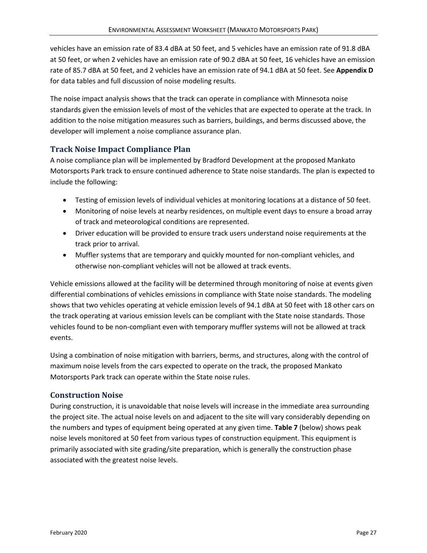vehicles have an emission rate of 83.4 dBA at 50 feet, and 5 vehicles have an emission rate of 91.8 dBA at 50 feet, or when 2 vehicles have an emission rate of 90.2 dBA at 50 feet, 16 vehicles have an emission rate of 85.7 dBA at 50 feet, and 2 vehicles have an emission rate of 94.1 dBA at 50 feet. See **Appendix D** for data tables and full discussion of noise modeling results.

The noise impact analysis shows that the track can operate in compliance with Minnesota noise standards given the emission levels of most of the vehicles that are expected to operate at the track. In addition to the noise mitigation measures such as barriers, buildings, and berms discussed above, the developer will implement a noise compliance assurance plan.

#### **Track Noise Impact Compliance Plan**

A noise compliance plan will be implemented by Bradford Development at the proposed Mankato Motorsports Park track to ensure continued adherence to State noise standards. The plan is expected to include the following:

- Testing of emission levels of individual vehicles at monitoring locations at a distance of 50 feet.
- Monitoring of noise levels at nearby residences, on multiple event days to ensure a broad array of track and meteorological conditions are represented.
- Driver education will be provided to ensure track users understand noise requirements at the track prior to arrival.
- Muffler systems that are temporary and quickly mounted for non-compliant vehicles, and otherwise non-compliant vehicles will not be allowed at track events.

Vehicle emissions allowed at the facility will be determined through monitoring of noise at events given differential combinations of vehicles emissions in compliance with State noise standards. The modeling shows that two vehicles operating at vehicle emission levels of 94.1 dBA at 50 feet with 18 other cars on the track operating at various emission levels can be compliant with the State noise standards. Those vehicles found to be non-compliant even with temporary muffler systems will not be allowed at track events.

Using a combination of noise mitigation with barriers, berms, and structures, along with the control of maximum noise levels from the cars expected to operate on the track, the proposed Mankato Motorsports Park track can operate within the State noise rules.

#### **Construction Noise**

During construction, it is unavoidable that noise levels will increase in the immediate area surrounding the project site. The actual noise levels on and adjacent to the site will vary considerably depending on the numbers and types of equipment being operated at any given time. **Table 7** (below) shows peak noise levels monitored at 50 feet from various types of construction equipment. This equipment is primarily associated with site grading/site preparation, which is generally the construction phase associated with the greatest noise levels.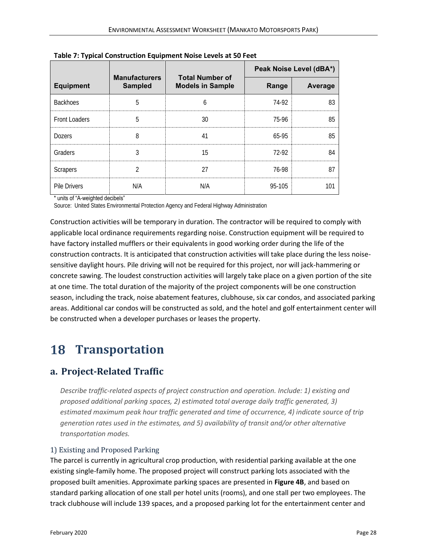|                     | <b>Manufacturers</b> | <b>Total Number of</b>  |            | Peak Noise Level (dBA*) |
|---------------------|----------------------|-------------------------|------------|-------------------------|
| <b>Equipment</b>    | <b>Sampled</b>       | <b>Models in Sample</b> | Range      | Average                 |
| <b>Backhoes</b>     |                      |                         | 74-92      | 83                      |
| Front Loaders       | 5                    | 30                      | 75-96      | 85                      |
| <b>Dozers</b>       | 8                    | 41                      | 65-95      | 85                      |
| Graders             |                      | 15                      | 72-92      |                         |
| Scrapers            |                      | 27                      | 76-98      | 87                      |
| <b>Pile Drivers</b> | N/A                  | N/A                     | $95 - 105$ |                         |

<span id="page-32-1"></span>**Table 7: Typical Construction Equipment Noise Levels at 50 Feet**

\* units of "A-weighted decibels"

Source: United States Environmental Protection Agency and Federal Highway Administration

Construction activities will be temporary in duration. The contractor will be required to comply with applicable local ordinance requirements regarding noise. Construction equipment will be required to have factory installed mufflers or their equivalents in good working order during the life of the construction contracts. It is anticipated that construction activities will take place during the less noisesensitive daylight hours. Pile driving will not be required for this project, nor will jack-hammering or concrete sawing. The loudest construction activities will largely take place on a given portion of the site at one time. The total duration of the majority of the project components will be one construction season, including the track, noise abatement features, clubhouse, six car condos, and associated parking areas. Additional car condos will be constructed as sold, and the hotel and golf entertainment center will be constructed when a developer purchases or leases the property.

# <span id="page-32-0"></span>**18 Transportation**

# **a. Project-Related Traffic**

*Describe traffic-related aspects of project construction and operation. Include: 1) existing and proposed additional parking spaces, 2) estimated total average daily traffic generated, 3) estimated maximum peak hour traffic generated and time of occurrence, 4) indicate source of trip generation rates used in the estimates, and 5) availability of transit and/or other alternative transportation modes.*

#### 1) Existing and Proposed Parking

The parcel is currently in agricultural crop production, with residential parking available at the one existing single-family home. The proposed project will construct parking lots associated with the proposed built amenities. Approximate parking spaces are presented in **Figure 4B**, and based on standard parking allocation of one stall per hotel units (rooms), and one stall per two employees. The track clubhouse will include 139 spaces, and a proposed parking lot for the entertainment center and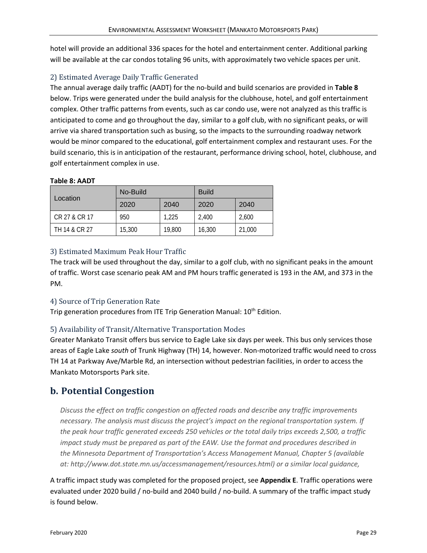hotel will provide an additional 336 spaces for the hotel and entertainment center. Additional parking will be available at the car condos totaling 96 units, with approximately two vehicle spaces per unit.

#### 2) Estimated Average Daily Traffic Generated

The annual average daily traffic (AADT) for the no-build and build scenarios are provided in **Table 8** below. Trips were generated under the build analysis for the clubhouse, hotel, and golf entertainment complex. Other traffic patterns from events, such as car condo use, were not analyzed as this traffic is anticipated to come and go throughout the day, similar to a golf club, with no significant peaks, or will arrive via shared transportation such as busing, so the impacts to the surrounding roadway network would be minor compared to the educational, golf entertainment complex and restaurant uses. For the build scenario, this is in anticipation of the restaurant, performance driving school, hotel, clubhouse, and golf entertainment complex in use.

#### <span id="page-33-0"></span>**Table 8: AADT**

|               | <b>Build</b><br>No-Build |        |        |        |
|---------------|--------------------------|--------|--------|--------|
| Location      | 2020                     | 2040   | 2020   | 2040   |
| CR 27 & CR 17 | 950                      | 1.225  | 2.400  | 2,600  |
| TH 14 & CR 27 | 15,300                   | 19,800 | 16,300 | 21,000 |

### 3) Estimated Maximum Peak Hour Traffic

The track will be used throughout the day, similar to a golf club, with no significant peaks in the amount of traffic. Worst case scenario peak AM and PM hours traffic generated is 193 in the AM, and 373 in the PM.

#### 4) Source of Trip Generation Rate

Trip generation procedures from ITE Trip Generation Manual: 10<sup>th</sup> Edition.

#### 5) Availability of Transit/Alternative Transportation Modes

Greater Mankato Transit offers bus service to Eagle Lake six days per week. This bus only services those areas of Eagle Lake *south* of Trunk Highway (TH) 14, however. Non-motorized traffic would need to cross TH 14 at Parkway Ave/Marble Rd, an intersection without pedestrian facilities, in order to access the Mankato Motorsports Park site.

# **b. Potential Congestion**

*Discuss the effect on traffic congestion on affected roads and describe any traffic improvements necessary. The analysis must discuss the project's impact on the regional transportation system. If the peak hour traffic generated exceeds 250 vehicles or the total daily trips exceeds 2,500, a traffic impact study must be prepared as part of the EAW. Use the format and procedures described in the Minnesota Department of Transportation's Access Management Manual, Chapter 5 (available at: http://www.dot.state.mn.us/accessmanagement/resources.html) or a similar local guidance,*

A traffic impact study was completed for the proposed project, see **Appendix E**. Traffic operations were evaluated under 2020 build / no-build and 2040 build / no-build. A summary of the traffic impact study is found below.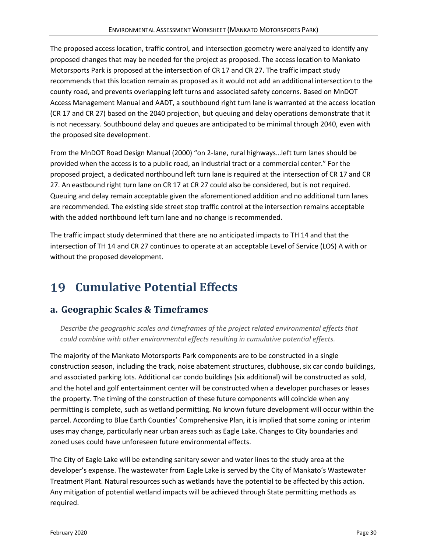The proposed access location, traffic control, and intersection geometry were analyzed to identify any proposed changes that may be needed for the project as proposed. The access location to Mankato Motorsports Park is proposed at the intersection of CR 17 and CR 27. The traffic impact study recommends that this location remain as proposed as it would not add an additional intersection to the county road, and prevents overlapping left turns and associated safety concerns. Based on MnDOT Access Management Manual and AADT, a southbound right turn lane is warranted at the access location (CR 17 and CR 27) based on the 2040 projection, but queuing and delay operations demonstrate that it is not necessary. Southbound delay and queues are anticipated to be minimal through 2040, even with the proposed site development.

From the MnDOT Road Design Manual (2000) "on 2-lane, rural highways…left turn lanes should be provided when the access is to a public road, an industrial tract or a commercial center." For the proposed project, a dedicated northbound left turn lane is required at the intersection of CR 17 and CR 27. An eastbound right turn lane on CR 17 at CR 27 could also be considered, but is not required. Queuing and delay remain acceptable given the aforementioned addition and no additional turn lanes are recommended. The existing side street stop traffic control at the intersection remains acceptable with the added northbound left turn lane and no change is recommended.

The traffic impact study determined that there are no anticipated impacts to TH 14 and that the intersection of TH 14 and CR 27 continues to operate at an acceptable Level of Service (LOS) A with or without the proposed development.

# <span id="page-34-0"></span>**Cumulative Potential Effects**

# **a. Geographic Scales & Timeframes**

*Describe the geographic scales and timeframes of the project related environmental effects that could combine with other environmental effects resulting in cumulative potential effects.*

The majority of the Mankato Motorsports Park components are to be constructed in a single construction season, including the track, noise abatement structures, clubhouse, six car condo buildings, and associated parking lots. Additional car condo buildings (six additional) will be constructed as sold, and the hotel and golf entertainment center will be constructed when a developer purchases or leases the property. The timing of the construction of these future components will coincide when any permitting is complete, such as wetland permitting. No known future development will occur within the parcel. According to Blue Earth Counties' Comprehensive Plan, it is implied that some zoning or interim uses may change, particularly near urban areas such as Eagle Lake. Changes to City boundaries and zoned uses could have unforeseen future environmental effects.

The City of Eagle Lake will be extending sanitary sewer and water lines to the study area at the developer's expense. The wastewater from Eagle Lake is served by the City of Mankato's Wastewater Treatment Plant. Natural resources such as wetlands have the potential to be affected by this action. Any mitigation of potential wetland impacts will be achieved through State permitting methods as required.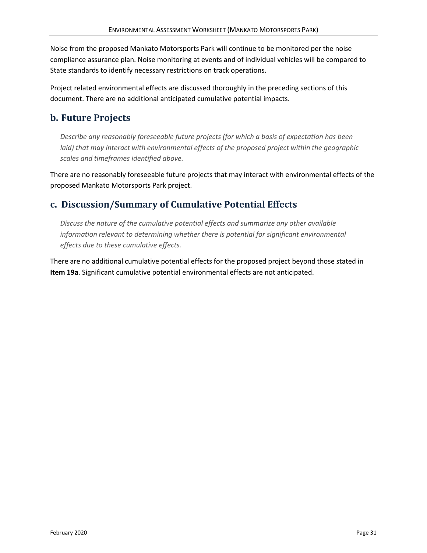Noise from the proposed Mankato Motorsports Park will continue to be monitored per the noise compliance assurance plan. Noise monitoring at events and of individual vehicles will be compared to State standards to identify necessary restrictions on track operations.

Project related environmental effects are discussed thoroughly in the preceding sections of this document. There are no additional anticipated cumulative potential impacts.

# **b. Future Projects**

*Describe any reasonably foreseeable future projects (for which a basis of expectation has been laid) that may interact with environmental effects of the proposed project within the geographic scales and timeframes identified above.*

There are no reasonably foreseeable future projects that may interact with environmental effects of the proposed Mankato Motorsports Park project.

# **c. Discussion/Summary of Cumulative Potential Effects**

*Discuss the nature of the cumulative potential effects and summarize any other available information relevant to determining whether there is potential for significant environmental effects due to these cumulative effects.*

There are no additional cumulative potential effects for the proposed project beyond those stated in **Item 19a**. Significant cumulative potential environmental effects are not anticipated.